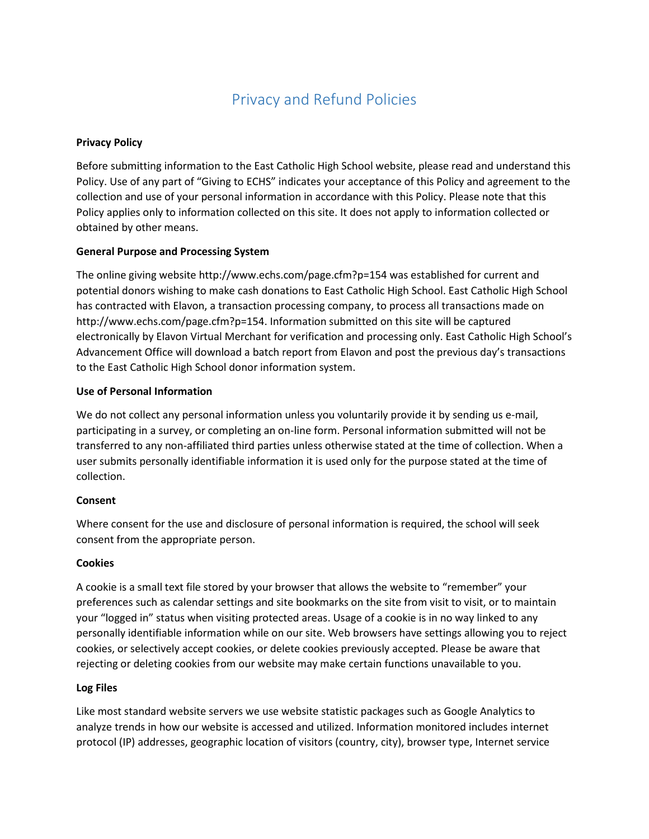# Privacy and Refund Policies

## **Privacy Policy**

Before submitting information to the East Catholic High School website, please read and understand this Policy. Use of any part of "Giving to ECHS" indicates your acceptance of this Policy and agreement to the collection and use of your personal information in accordance with this Policy. Please note that this Policy applies only to information collected on this site. It does not apply to information collected or obtained by other means.

## **General Purpose and Processing System**

The online giving website http://www.echs.com/page.cfm?p=154 was established for current and potential donors wishing to make cash donations to East Catholic High School. East Catholic High School has contracted with Elavon, a transaction processing company, to process all transactions made on http://www.echs.com/page.cfm?p=154. Information submitted on this site will be captured electronically by Elavon Virtual Merchant for verification and processing only. East Catholic High School's Advancement Office will download a batch report from Elavon and post the previous day's transactions to the East Catholic High School donor information system.

## **Use of Personal Information**

We do not collect any personal information unless you voluntarily provide it by sending us e-mail, participating in a survey, or completing an on-line form. Personal information submitted will not be transferred to any non-affiliated third parties unless otherwise stated at the time of collection. When a user submits personally identifiable information it is used only for the purpose stated at the time of collection.

#### **Consent**

Where consent for the use and disclosure of personal information is required, the school will seek consent from the appropriate person.

#### **Cookies**

A cookie is a small text file stored by your browser that allows the website to "remember" your preferences such as calendar settings and site bookmarks on the site from visit to visit, or to maintain your "logged in" status when visiting protected areas. Usage of a cookie is in no way linked to any personally identifiable information while on our site. Web browsers have settings allowing you to reject cookies, or selectively accept cookies, or delete cookies previously accepted. Please be aware that rejecting or deleting cookies from our website may make certain functions unavailable to you.

#### **Log Files**

Like most standard website servers we use website statistic packages such as Google Analytics to analyze trends in how our website is accessed and utilized. Information monitored includes internet protocol (IP) addresses, geographic location of visitors (country, city), browser type, Internet service